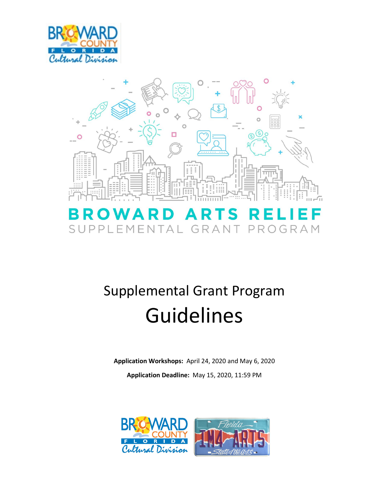



# Supplemental Grant Program Guidelines

**Application Workshops:** April 24, 2020 and May 6, 2020

**Application Deadline:** May 15, 2020, 11:59 PM

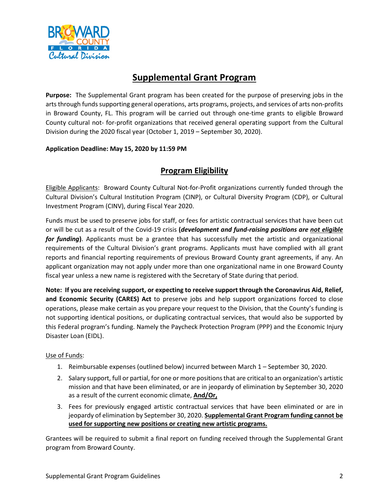

## **Supplemental Grant Program**

 arts through funds supporting general operations, arts programs, projects, and services of arts non-profits in Broward County, FL. This program will be carried out through one-time grants to eligible Broward County cultural not- for-profit organizations that received general operating support from the Cultural Division during the 2020 fiscal year (October 1, 2019 – September 30, 2020). **Purpose:** The Supplemental Grant program has been created for the purpose of preserving jobs in the

#### **Application Deadline: May 15, 2020 by 11:59 PM**

## **Program Eligibility**

Eligible Applicants: Broward County Cultural Not-for-Profit organizations currently funded through the Cultural Division's Cultural Institution Program (CINP), or Cultural Diversity Program (CDP), or Cultural Investment Program (CINV), during Fiscal Year 2020.

Funds must be used to preserve jobs for staff, or fees for artistic contractual services that have been cut or will be cut as a result of the Covid-19 crisis **(***development and fund-raising positions are not eligible for funding***)**. Applicants must be a grantee that has successfully met the artistic and organizational requirements of the Cultural Division's grant programs. Applicants must have complied with all grant reports and financial reporting requirements of previous Broward County grant agreements, if any. An applicant organization may not apply under more than one organizational name in one Broward County fiscal year unless a new name is registered with the Secretary of State during that period.

**Note: If you are receiving support, or expecting to receive support through the Coronavirus Aid, Relief, and Economic Security (CARES) Act** to preserve jobs and help support organizations forced to close operations, please make certain as you prepare your request to the Division, that the County's funding is not supporting identical positions, or duplicating contractual services, that would also be supported by this Federal program's funding. Namely the Paycheck Protection Program (PPP) and the Economic Injury Disaster Loan (EIDL).

#### Use of Funds:

- 1. Reimbursable expenses (outlined below) incurred between March 1 September 30, 2020.
- 2. Salary support, full or partial, for one or more positions that are critical to an organization's artistic mission and that have been eliminated, or are in jeopardy of elimination by September 30, 2020 as a result of the current economic climate, **And/Or,**
- 3. Fees for previously engaged artistic contractual services that have been eliminated or are in jeopardy of elimination by September 30, 2020. **Supplemental Grant Program funding cannot be used for supporting new positions or creating new artistic programs.**

Grantees will be required to submit a final report on funding received through the Supplemental Grant program from Broward County.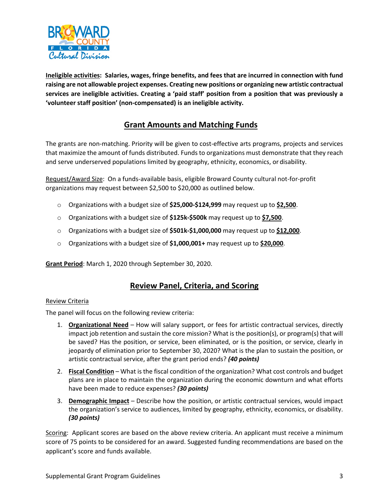

 **Ineligible activities: Salaries, wages, fringe benefits, and fees that are incurred in connection with fund raising are not allowable project expenses. Creating new positions or organizing new artistic contractual services are ineligible activities. Creating a 'paid staff' position from a position that was previously a 'volunteer staff position' (non-compensated) is an ineligible activity.** 

## **Grant Amounts and Matching Funds**

 that maximize the amount of funds distributed. Funds to organizations must demonstrate that they reach and serve underserved populations limited by geography, ethnicity, economics, or disability. The grants are non-matching. Priority will be given to cost-effective arts programs, projects and services

Request/Award Size: On a funds-available basis, eligible Broward County cultural not-for-profit organizations may request between \$2,500 to \$20,000 as outlined below.

- o Organizations with a budget size of **\$25,000-\$124,999** may request up to **\$2,500**.
- o Organizations with a budget size of **\$125k-\$500k** may request up to **\$7,500**.
- o Organizations with a budget size of **\$501k-\$1,000,000** may request up to **\$12,000**.
- o Organizations with a budget size of **\$1,000,001+** may request up to **\$20,000**.

**Grant Period**: March 1, 2020 through September 30, 2020.

#### **Review Panel, Criteria, and Scoring**

#### Review Criteria

The panel will focus on the following review criteria:

- 1. **Organizational Need**  How will salary support, or fees for artistic contractual services, directly impact job retention and sustain the core mission? What is the position(s), or program(s) that will be saved? Has the position, or service, been eliminated, or is the position, or service, clearly in jeopardy of elimination prior to September 30, 2020? What is the plan to sustain the position, or artistic contractual service, after the grant period ends? *(40 points)*
- 2. **Fiscal Condition**  What is the fiscal condition of the organization? What cost controls and budget plans are in place to maintain the organization during the economic downturn and what efforts have been made to reduce expenses? *(30 points)*
- 3. **Demographic Impact**  Describe how the position, or artistic contractual services, would impact the organization's service to audiences, limited by geography, ethnicity, economics, or disability. *(30 points)*

Scoring: Applicant scores are based on the above review criteria. An applicant must receive a minimum score of 75 points to be considered for an award. Suggested funding recommendations are based on the applicant's score and funds available.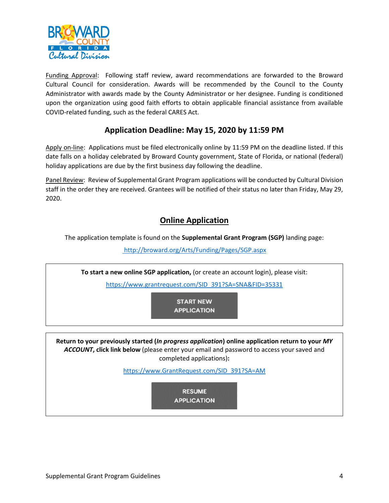

Funding Approval: Following staff review, award recommendations are forwarded to the Broward upon the organization using good faith efforts to obtain applicable financial assistance from available Cultural Council for consideration. Awards will be recommended by the Council to the County Administrator with awards made by the County Administrator or her designee. Funding is conditioned COVID-related funding, such as the federal CARES Act.

## **Application Deadline: May 15, 2020 by 11:59 PM**

Apply on-line: Applications must be filed electronically online by 11:59 PM on the deadline listed. If this date falls on a holiday celebrated by Broward County government, State of Florida, or national (federal) holiday applications are due by the first business day following the deadline.

Panel Review: Review of Supplemental Grant Program applications will be conducted by Cultural Division staff in the order they are received. Grantees will be notified of their status no later than Friday, May 29, 2020.

### **Online Application**

The application template is found on the **Supplemental Grant Program (SGP)** landing page:

<http://broward.org/Arts/Funding/Pages/SGP.aspx>

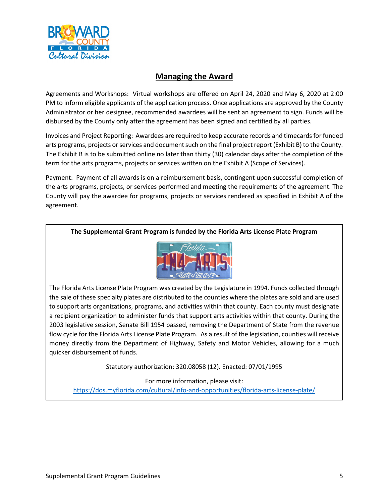

#### **Managing the Award**

Agreements and Workshops: Virtual workshops are offered on April 24, 2020 and May 6, 2020 at 2:00 PM to inform eligible applicants of the application process. Once applications are approved by the County Administrator or her designee, recommended awardees will be sent an agreement to sign. Funds will be disbursed by the County only after the agreement has been signed and certified by all parties.

 Invoices and Project Reporting: Awardees are required to keep accurate records and timecards for funded The Exhibit B is to be submitted online no later than thirty (30) calendar days after the completion of the arts programs, projects or services and document such on the final project report (Exhibit B) to the County. term for the arts programs, projects or services written on the Exhibit A (Scope of Services).

 the arts programs, projects, or services performed and meeting the requirements of the agreement. The County will pay the awardee for programs, projects or services rendered as specified in Exhibit A of the Payment: Payment of all awards is on a reimbursement basis, contingent upon successful completion of agreement.

#### **The Supplemental Grant Program is funded by the Florida Arts License Plate Program**



 The Florida Arts License Plate Program was created by the Legislature in 1994. Funds collected through the sale of these specialty plates are distributed to the counties where the plates are sold and are used to support arts organizations, programs, and activities within that county. Each county must designate a recipient organization to administer funds that support arts activities within that county. During the 2003 legislative session, Senate Bill 1954 passed, removing the Department of State from the revenue flow cycle for the Florida Arts License Plate Program. As a result of the legislation, counties will receive money directly from the Department of Highway, Safety and Motor Vehicles, allowing for a much quicker disbursement of funds.

Statutory authorization: 320.08058 (12). Enacted: 07/01/1995

For more information, please visit: <https://dos.myflorida.com/cultural/info-and-opportunities/florida-arts-license-plate/>